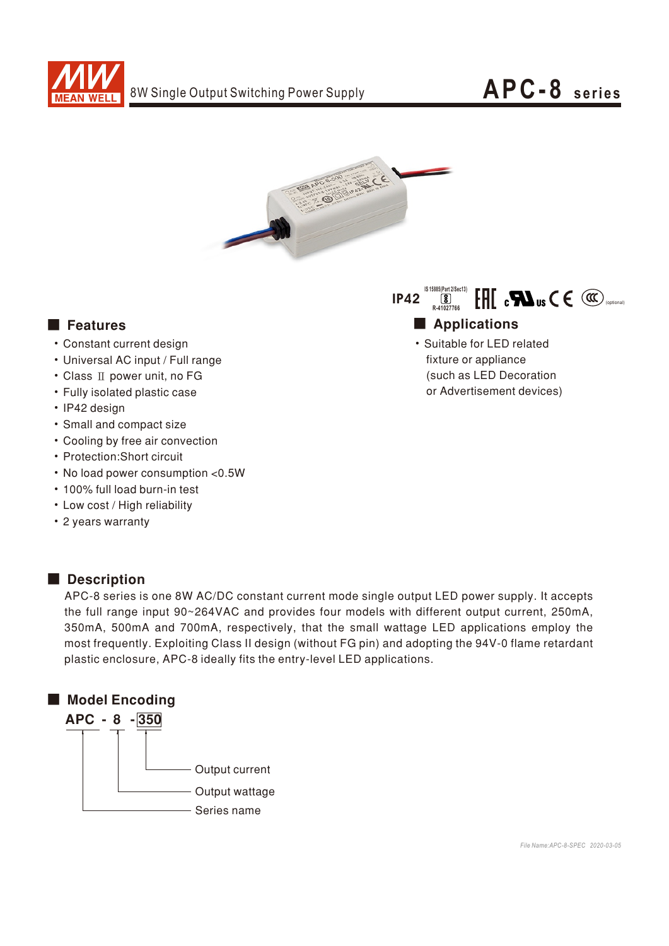



- Constant current design
- Universal AC input / Full range
- Class II power unit, no FG
- Fully isolated plastic case
- IP42 design
- Small and compact size
- Cooling by free air convection
- Protection:Short circuit
- No load power consumption < 0.5W
- 100% full load burn-in test
- Low cost / High reliability
- 2 years warranty

## Description

APC-8 series is one 8W AC/DC constant current mode single output LED power supply. It accepts the full range input 90~264VAC and provides four models with different output current, 250mA, 350mA, 500mA and 700mA, respectively, that the small wattage LED applications employ the most frequently. Exploiting Class II design (without FG pin) and adopting the 94V-0 flame retardant plastic enclosure, APC-8 ideally fits the entry-level LED applications.





• Suitable for LED related fixture or appliance (such as LED Decoration or Advertisement devices)

*File Name:APC-8-SPEC 2020-03-05*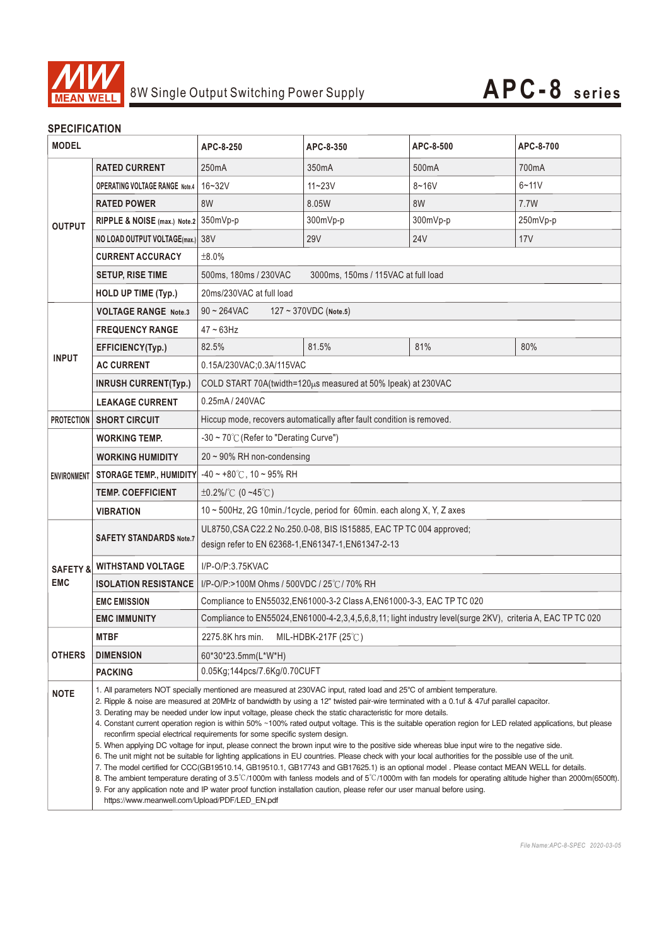

## **SPECIFICATION**

| <b>MODEL</b>                      |                                                                                                                                                                                                                                                                                                                                                                                                                                                                                                                                                                                                                                                                                                                                                                                                                                                                                                                                                                                                                                                                                                                                                                                                                                                                         | APC-8-250                                                                                                                  | APC-8-350  | APC-8-500  | APC-8-700 |
|-----------------------------------|-------------------------------------------------------------------------------------------------------------------------------------------------------------------------------------------------------------------------------------------------------------------------------------------------------------------------------------------------------------------------------------------------------------------------------------------------------------------------------------------------------------------------------------------------------------------------------------------------------------------------------------------------------------------------------------------------------------------------------------------------------------------------------------------------------------------------------------------------------------------------------------------------------------------------------------------------------------------------------------------------------------------------------------------------------------------------------------------------------------------------------------------------------------------------------------------------------------------------------------------------------------------------|----------------------------------------------------------------------------------------------------------------------------|------------|------------|-----------|
| <b>OUTPUT</b>                     | <b>RATED CURRENT</b>                                                                                                                                                                                                                                                                                                                                                                                                                                                                                                                                                                                                                                                                                                                                                                                                                                                                                                                                                                                                                                                                                                                                                                                                                                                    | 250 <sub>m</sub> A                                                                                                         | 350mA      | 500mA      | 700mA     |
|                                   | <b>OPERATING VOLTAGE RANGE Note.4</b>                                                                                                                                                                                                                                                                                                                                                                                                                                                                                                                                                                                                                                                                                                                                                                                                                                                                                                                                                                                                                                                                                                                                                                                                                                   | $16 - 32V$                                                                                                                 | $11 - 23V$ | $8 - 16V$  | $6 - 11V$ |
|                                   | <b>RATED POWER</b>                                                                                                                                                                                                                                                                                                                                                                                                                                                                                                                                                                                                                                                                                                                                                                                                                                                                                                                                                                                                                                                                                                                                                                                                                                                      | 8W                                                                                                                         | 8.05W      | 8W         | 7.7W      |
|                                   | RIPPLE & NOISE (max.) Note.2 350mVp-p                                                                                                                                                                                                                                                                                                                                                                                                                                                                                                                                                                                                                                                                                                                                                                                                                                                                                                                                                                                                                                                                                                                                                                                                                                   |                                                                                                                            | 300mVp-p   | 300mVp-p   | 250mVp-p  |
|                                   | NO LOAD OUTPUT VOLTAGE(max.) 38V                                                                                                                                                                                                                                                                                                                                                                                                                                                                                                                                                                                                                                                                                                                                                                                                                                                                                                                                                                                                                                                                                                                                                                                                                                        |                                                                                                                            | <b>29V</b> | <b>24V</b> | 17V       |
|                                   | <b>CURRENT ACCURACY</b>                                                                                                                                                                                                                                                                                                                                                                                                                                                                                                                                                                                                                                                                                                                                                                                                                                                                                                                                                                                                                                                                                                                                                                                                                                                 | ±8.0%                                                                                                                      |            |            |           |
|                                   | <b>SETUP, RISE TIME</b>                                                                                                                                                                                                                                                                                                                                                                                                                                                                                                                                                                                                                                                                                                                                                                                                                                                                                                                                                                                                                                                                                                                                                                                                                                                 | 500ms, 180ms / 230VAC<br>3000ms, 150ms / 115VAC at full load                                                               |            |            |           |
|                                   | HOLD UP TIME (Typ.)                                                                                                                                                                                                                                                                                                                                                                                                                                                                                                                                                                                                                                                                                                                                                                                                                                                                                                                                                                                                                                                                                                                                                                                                                                                     | 20ms/230VAC at full load                                                                                                   |            |            |           |
| <b>INPUT</b>                      | <b>VOLTAGE RANGE Note.3</b>                                                                                                                                                                                                                                                                                                                                                                                                                                                                                                                                                                                                                                                                                                                                                                                                                                                                                                                                                                                                                                                                                                                                                                                                                                             | $90 \sim 264$ VAC<br>$127 \sim 370$ VDC (Note.5)                                                                           |            |            |           |
|                                   | <b>FREQUENCY RANGE</b>                                                                                                                                                                                                                                                                                                                                                                                                                                                                                                                                                                                                                                                                                                                                                                                                                                                                                                                                                                                                                                                                                                                                                                                                                                                  | $47 - 63$ Hz                                                                                                               |            |            |           |
|                                   | EFFICIENCY(Typ.)                                                                                                                                                                                                                                                                                                                                                                                                                                                                                                                                                                                                                                                                                                                                                                                                                                                                                                                                                                                                                                                                                                                                                                                                                                                        | 82.5%                                                                                                                      | 81.5%      | 81%        | 80%       |
|                                   | <b>AC CURRENT</b>                                                                                                                                                                                                                                                                                                                                                                                                                                                                                                                                                                                                                                                                                                                                                                                                                                                                                                                                                                                                                                                                                                                                                                                                                                                       | 0.15A/230VAC;0.3A/115VAC                                                                                                   |            |            |           |
|                                   | <b>INRUSH CURRENT(Typ.)</b>                                                                                                                                                                                                                                                                                                                                                                                                                                                                                                                                                                                                                                                                                                                                                                                                                                                                                                                                                                                                                                                                                                                                                                                                                                             | COLD START 70A(twidth=120µs measured at 50% Ipeak) at 230VAC                                                               |            |            |           |
|                                   | <b>LEAKAGE CURRENT</b>                                                                                                                                                                                                                                                                                                                                                                                                                                                                                                                                                                                                                                                                                                                                                                                                                                                                                                                                                                                                                                                                                                                                                                                                                                                  | 0.25mA / 240VAC                                                                                                            |            |            |           |
| <b>PROTECTION</b>                 | <b>SHORT CIRCUIT</b>                                                                                                                                                                                                                                                                                                                                                                                                                                                                                                                                                                                                                                                                                                                                                                                                                                                                                                                                                                                                                                                                                                                                                                                                                                                    | Hiccup mode, recovers automatically after fault condition is removed.                                                      |            |            |           |
| <b>ENVIRONMENT</b>                | <b>WORKING TEMP.</b>                                                                                                                                                                                                                                                                                                                                                                                                                                                                                                                                                                                                                                                                                                                                                                                                                                                                                                                                                                                                                                                                                                                                                                                                                                                    | -30 ~ 70 $\degree$ C (Refer to "Derating Curve")                                                                           |            |            |           |
|                                   | <b>WORKING HUMIDITY</b>                                                                                                                                                                                                                                                                                                                                                                                                                                                                                                                                                                                                                                                                                                                                                                                                                                                                                                                                                                                                                                                                                                                                                                                                                                                 | 20~90% RH non-condensing                                                                                                   |            |            |           |
|                                   | <b>STORAGE TEMP., HUMIDITY</b>                                                                                                                                                                                                                                                                                                                                                                                                                                                                                                                                                                                                                                                                                                                                                                                                                                                                                                                                                                                                                                                                                                                                                                                                                                          | $-40 \sim +80^{\circ}$ C, 10 ~ 95% RH                                                                                      |            |            |           |
|                                   | <b>TEMP, COEFFICIENT</b>                                                                                                                                                                                                                                                                                                                                                                                                                                                                                                                                                                                                                                                                                                                                                                                                                                                                                                                                                                                                                                                                                                                                                                                                                                                | $\pm 0.2\%$ /°C (0~45°C)                                                                                                   |            |            |           |
|                                   | <b>VIBRATION</b>                                                                                                                                                                                                                                                                                                                                                                                                                                                                                                                                                                                                                                                                                                                                                                                                                                                                                                                                                                                                                                                                                                                                                                                                                                                        | 10 ~ 500Hz, 2G 10min./1cycle, period for 60min. each along X, Y, Z axes                                                    |            |            |           |
|                                   | <b>SAFETY STANDARDS Note.7</b>                                                                                                                                                                                                                                                                                                                                                                                                                                                                                                                                                                                                                                                                                                                                                                                                                                                                                                                                                                                                                                                                                                                                                                                                                                          | UL8750, CSA C22.2 No.250.0-08, BIS IS15885, EAC TP TC 004 approved;<br>design refer to EN 62368-1, EN61347-1, EN61347-2-13 |            |            |           |
| <b>SAFETY &amp;</b><br><b>EMC</b> | <b>WITHSTAND VOLTAGE</b>                                                                                                                                                                                                                                                                                                                                                                                                                                                                                                                                                                                                                                                                                                                                                                                                                                                                                                                                                                                                                                                                                                                                                                                                                                                | I/P-O/P:3.75KVAC                                                                                                           |            |            |           |
|                                   | <b>ISOLATION RESISTANCE</b>                                                                                                                                                                                                                                                                                                                                                                                                                                                                                                                                                                                                                                                                                                                                                                                                                                                                                                                                                                                                                                                                                                                                                                                                                                             | I/P-O/P:>100M Ohms / 500VDC / 25℃/70% RH                                                                                   |            |            |           |
|                                   | <b>EMC EMISSION</b>                                                                                                                                                                                                                                                                                                                                                                                                                                                                                                                                                                                                                                                                                                                                                                                                                                                                                                                                                                                                                                                                                                                                                                                                                                                     | Compliance to EN55032, EN61000-3-2 Class A, EN61000-3-3, EAC TP TC 020                                                     |            |            |           |
|                                   | <b>EMC IMMUNITY</b>                                                                                                                                                                                                                                                                                                                                                                                                                                                                                                                                                                                                                                                                                                                                                                                                                                                                                                                                                                                                                                                                                                                                                                                                                                                     | Compliance to EN55024, EN61000-4-2, 3, 4, 5, 6, 8, 11; light industry level(surge 2KV), criteria A, EAC TP TC 020          |            |            |           |
|                                   | <b>MTBF</b>                                                                                                                                                                                                                                                                                                                                                                                                                                                                                                                                                                                                                                                                                                                                                                                                                                                                                                                                                                                                                                                                                                                                                                                                                                                             | 2275.8K hrs min. MIL-HDBK-217F (25°C)                                                                                      |            |            |           |
| <b>OTHERS</b>                     | <b>DIMENSION</b>                                                                                                                                                                                                                                                                                                                                                                                                                                                                                                                                                                                                                                                                                                                                                                                                                                                                                                                                                                                                                                                                                                                                                                                                                                                        | 60*30*23.5mm(L*W*H)                                                                                                        |            |            |           |
|                                   | <b>PACKING</b>                                                                                                                                                                                                                                                                                                                                                                                                                                                                                                                                                                                                                                                                                                                                                                                                                                                                                                                                                                                                                                                                                                                                                                                                                                                          | 0.05Kg;144pcs/7.6Kg/0.70CUFT                                                                                               |            |            |           |
| <b>NOTE</b>                       | 1. All parameters NOT specially mentioned are measured at 230VAC input, rated load and 25°C of ambient temperature.<br>2. Ripple & noise are measured at 20MHz of bandwidth by using a 12" twisted pair-wire terminated with a 0.1uf & 47uf parallel capacitor.<br>3. Derating may be needed under low input voltage, please check the static characteristic for more details.<br>4. Constant current operation region is within 50% ~100% rated output voltage. This is the suitable operation region for LED related applications, but please<br>reconfirm special electrical requirements for some specific system design.<br>5. When applying DC voltage for input, please connect the brown input wire to the positive side whereas blue input wire to the negative side.<br>6. The unit might not be suitable for lighting applications in EU countries. Please check with your local authorities for the possible use of the unit.<br>7. The model certified for CCC(GB19510.14, GB19510.1, GB17743 and GB17625.1) is an optional model . Please contact MEAN WELL for details.<br>8. The ambient temperature derating of $3.5^{\circ}$ C/1000m with fanless models and of $5^{\circ}$ C/1000m with fan models for operating altitude higher than 2000m(6500ft). |                                                                                                                            |            |            |           |
|                                   | 9. For any application note and IP water proof function installation caution, please refer our user manual before using.<br>https://www.meanwell.com/Upload/PDF/LED EN.pdf                                                                                                                                                                                                                                                                                                                                                                                                                                                                                                                                                                                                                                                                                                                                                                                                                                                                                                                                                                                                                                                                                              |                                                                                                                            |            |            |           |